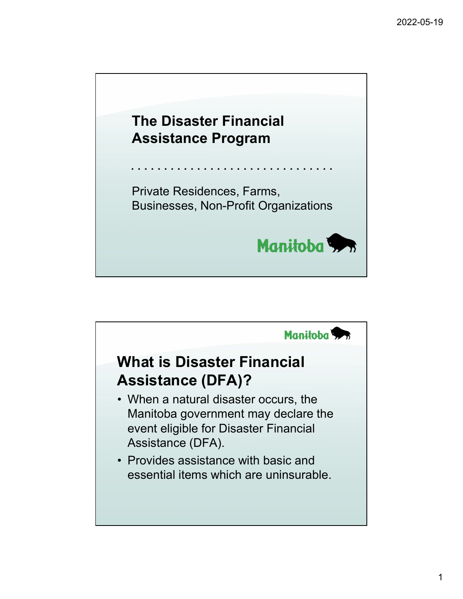

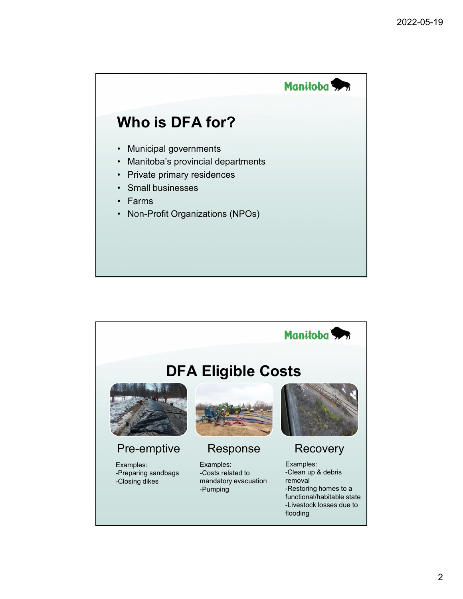

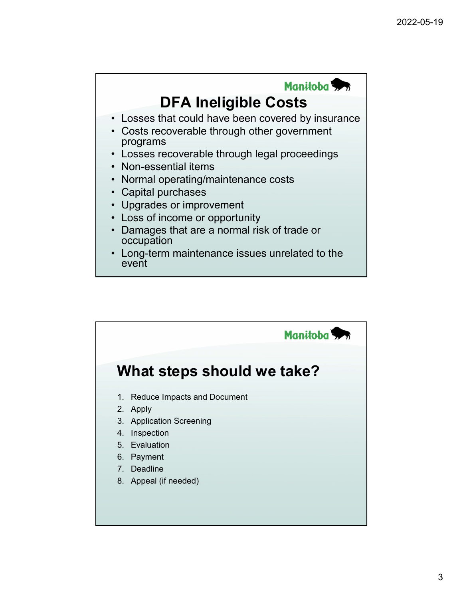

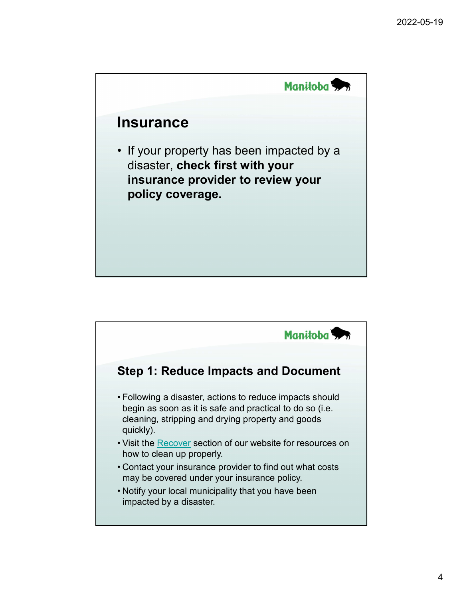

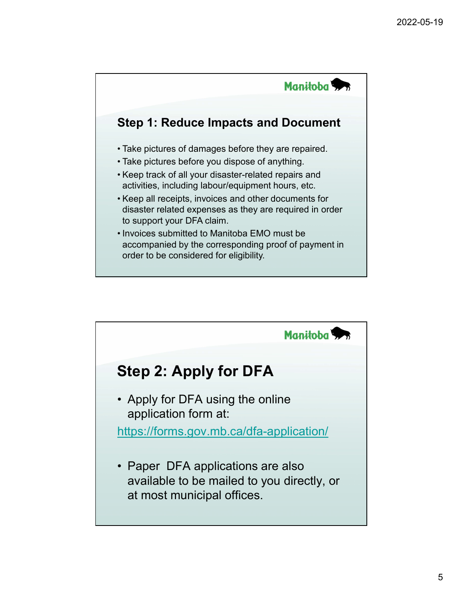

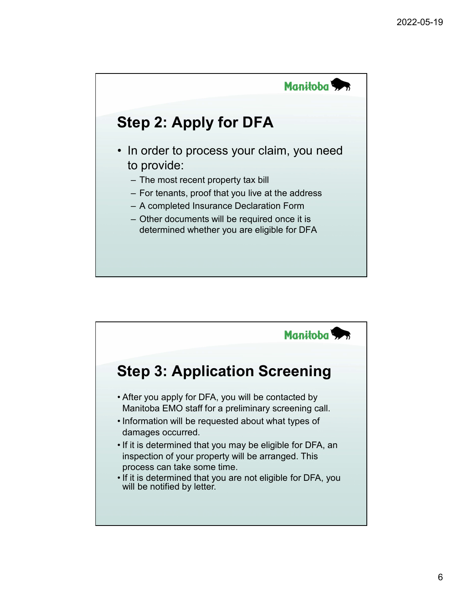

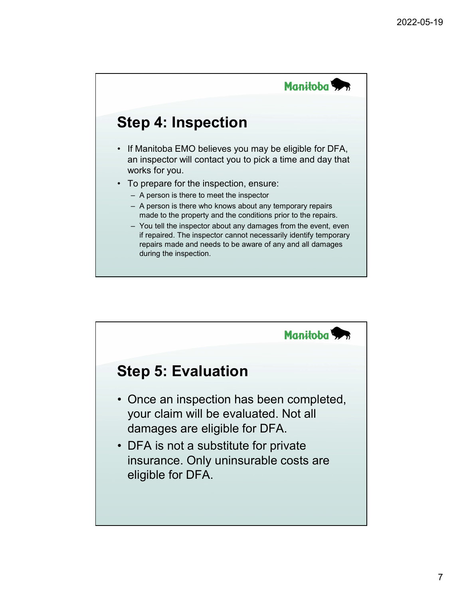

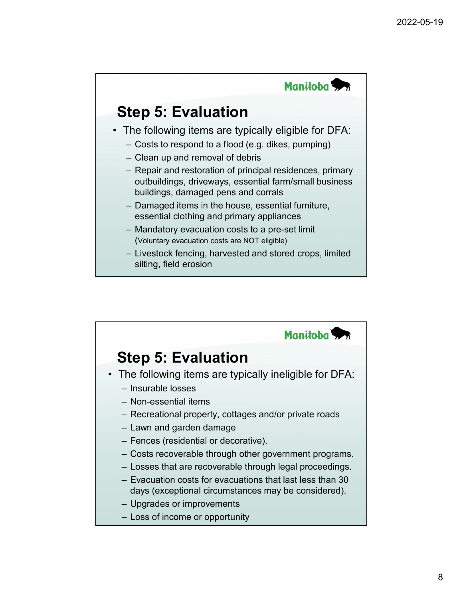

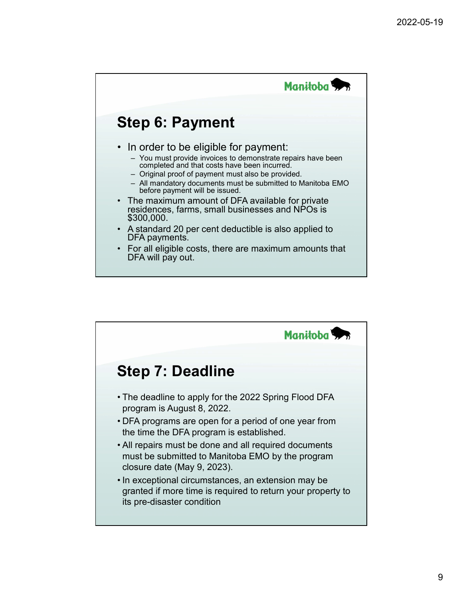